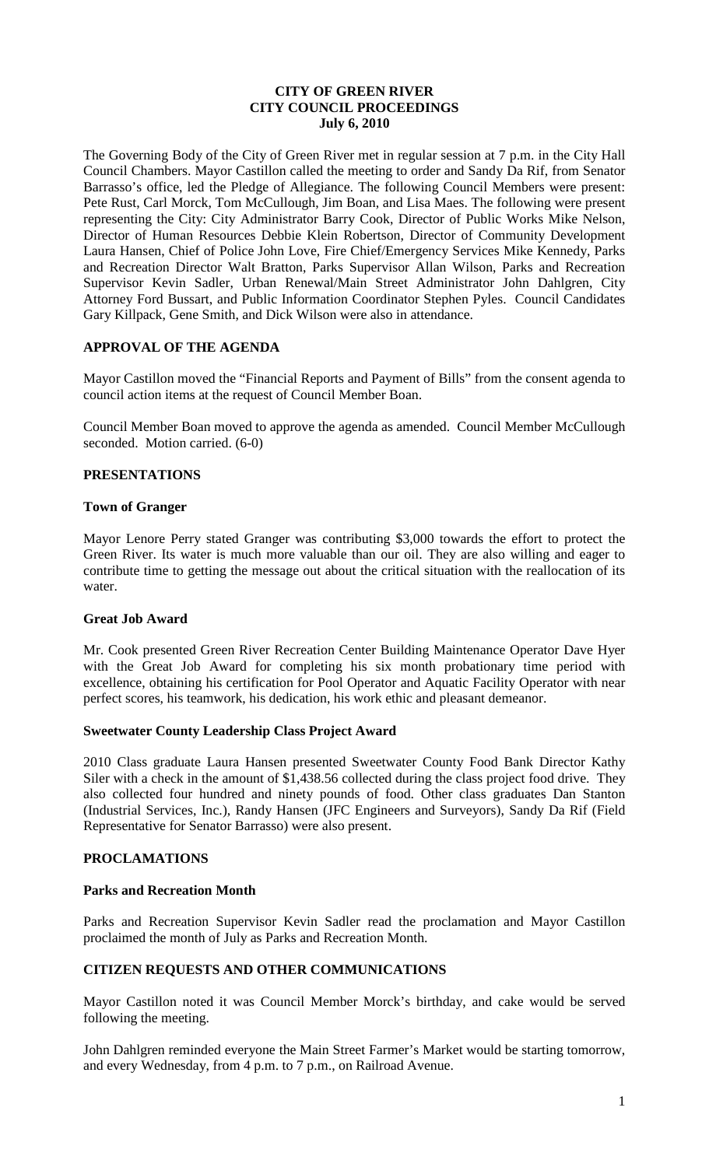### **CITY OF GREEN RIVER CITY COUNCIL PROCEEDINGS July 6, 2010**

The Governing Body of the City of Green River met in regular session at 7 p.m. in the City Hall Council Chambers. Mayor Castillon called the meeting to order and Sandy Da Rif, from Senator Barrasso's office, led the Pledge of Allegiance. The following Council Members were present: Pete Rust, Carl Morck, Tom McCullough, Jim Boan, and Lisa Maes. The following were present representing the City: City Administrator Barry Cook, Director of Public Works Mike Nelson, Director of Human Resources Debbie Klein Robertson, Director of Community Development Laura Hansen, Chief of Police John Love, Fire Chief/Emergency Services Mike Kennedy, Parks and Recreation Director Walt Bratton, Parks Supervisor Allan Wilson, Parks and Recreation Supervisor Kevin Sadler, Urban Renewal/Main Street Administrator John Dahlgren, City Attorney Ford Bussart, and Public Information Coordinator Stephen Pyles. Council Candidates Gary Killpack, Gene Smith, and Dick Wilson were also in attendance.

# **APPROVAL OF THE AGENDA**

Mayor Castillon moved the "Financial Reports and Payment of Bills" from the consent agenda to council action items at the request of Council Member Boan.

Council Member Boan moved to approve the agenda as amended. Council Member McCullough seconded. Motion carried. (6-0)

### **PRESENTATIONS**

### **Town of Granger**

Mayor Lenore Perry stated Granger was contributing \$3,000 towards the effort to protect the Green River. Its water is much more valuable than our oil. They are also willing and eager to contribute time to getting the message out about the critical situation with the reallocation of its water.

### **Great Job Award**

Mr. Cook presented Green River Recreation Center Building Maintenance Operator Dave Hyer with the Great Job Award for completing his six month probationary time period with excellence, obtaining his certification for Pool Operator and Aquatic Facility Operator with near perfect scores, his teamwork, his dedication, his work ethic and pleasant demeanor.

### **Sweetwater County Leadership Class Project Award**

2010 Class graduate Laura Hansen presented Sweetwater County Food Bank Director Kathy Siler with a check in the amount of \$1,438.56 collected during the class project food drive. They also collected four hundred and ninety pounds of food. Other class graduates Dan Stanton (Industrial Services, Inc.), Randy Hansen (JFC Engineers and Surveyors), Sandy Da Rif (Field Representative for Senator Barrasso) were also present.

#### **PROCLAMATIONS**

#### **Parks and Recreation Month**

Parks and Recreation Supervisor Kevin Sadler read the proclamation and Mayor Castillon proclaimed the month of July as Parks and Recreation Month.

# **CITIZEN REQUESTS AND OTHER COMMUNICATIONS**

Mayor Castillon noted it was Council Member Morck's birthday, and cake would be served following the meeting.

John Dahlgren reminded everyone the Main Street Farmer's Market would be starting tomorrow, and every Wednesday, from 4 p.m. to 7 p.m., on Railroad Avenue.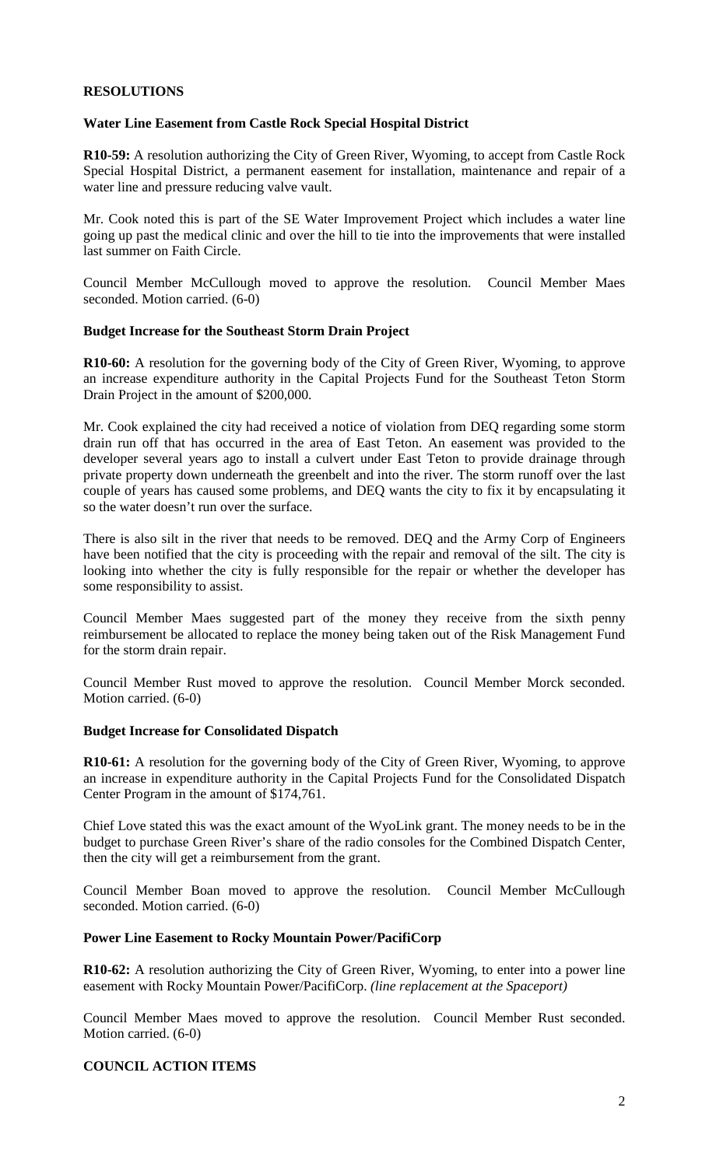# **RESOLUTIONS**

# **Water Line Easement from Castle Rock Special Hospital District**

**R10-59:** A resolution authorizing the City of Green River, Wyoming, to accept from Castle Rock Special Hospital District, a permanent easement for installation, maintenance and repair of a water line and pressure reducing valve vault.

Mr. Cook noted this is part of the SE Water Improvement Project which includes a water line going up past the medical clinic and over the hill to tie into the improvements that were installed last summer on Faith Circle.

Council Member McCullough moved to approve the resolution. Council Member Maes seconded. Motion carried. (6-0)

### **Budget Increase for the Southeast Storm Drain Project**

**R10-60:** A resolution for the governing body of the City of Green River, Wyoming, to approve an increase expenditure authority in the Capital Projects Fund for the Southeast Teton Storm Drain Project in the amount of \$200,000.

Mr. Cook explained the city had received a notice of violation from DEQ regarding some storm drain run off that has occurred in the area of East Teton. An easement was provided to the developer several years ago to install a culvert under East Teton to provide drainage through private property down underneath the greenbelt and into the river. The storm runoff over the last couple of years has caused some problems, and DEQ wants the city to fix it by encapsulating it so the water doesn't run over the surface.

There is also silt in the river that needs to be removed. DEQ and the Army Corp of Engineers have been notified that the city is proceeding with the repair and removal of the silt. The city is looking into whether the city is fully responsible for the repair or whether the developer has some responsibility to assist.

Council Member Maes suggested part of the money they receive from the sixth penny reimbursement be allocated to replace the money being taken out of the Risk Management Fund for the storm drain repair.

Council Member Rust moved to approve the resolution. Council Member Morck seconded. Motion carried. (6-0)

### **Budget Increase for Consolidated Dispatch**

**R10-61:** A resolution for the governing body of the City of Green River, Wyoming, to approve an increase in expenditure authority in the Capital Projects Fund for the Consolidated Dispatch Center Program in the amount of \$174,761.

Chief Love stated this was the exact amount of the WyoLink grant. The money needs to be in the budget to purchase Green River's share of the radio consoles for the Combined Dispatch Center, then the city will get a reimbursement from the grant.

Council Member Boan moved to approve the resolution. Council Member McCullough seconded. Motion carried. (6-0)

### **Power Line Easement to Rocky Mountain Power/PacifiCorp**

**R10-62:** A resolution authorizing the City of Green River, Wyoming, to enter into a power line easement with Rocky Mountain Power/PacifiCorp. *(line replacement at the Spaceport)*

Council Member Maes moved to approve the resolution. Council Member Rust seconded. Motion carried. (6-0)

# **COUNCIL ACTION ITEMS**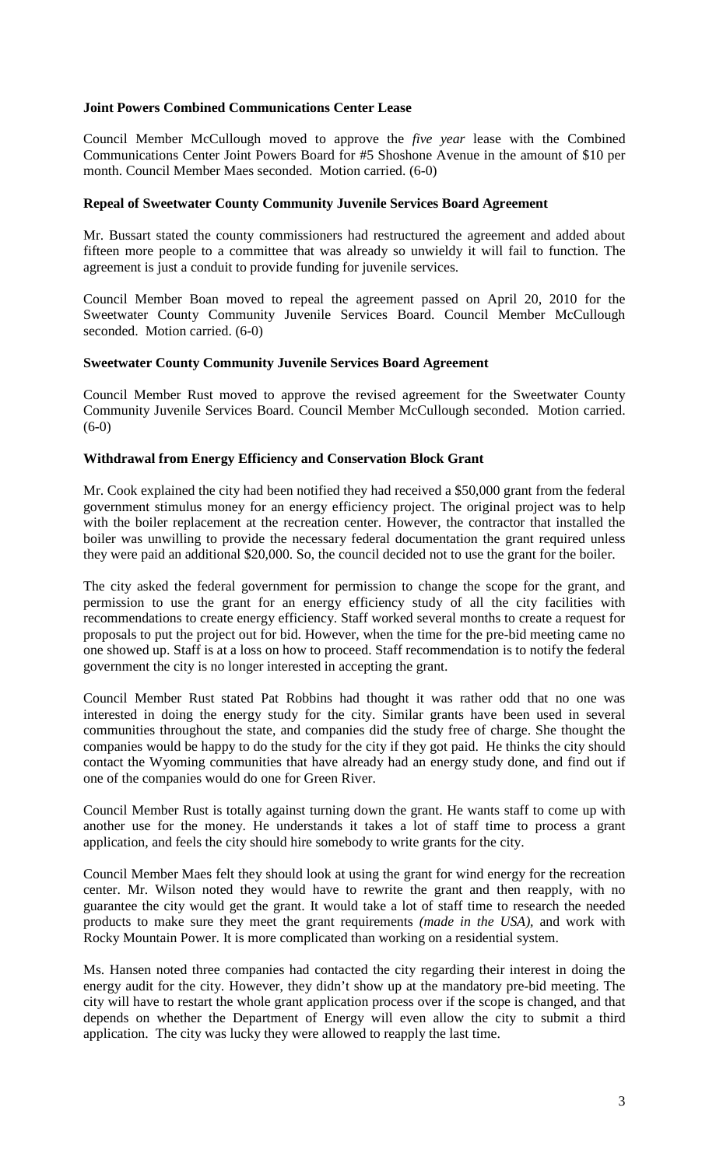# **Joint Powers Combined Communications Center Lease**

Council Member McCullough moved to approve the *five year* lease with the Combined Communications Center Joint Powers Board for #5 Shoshone Avenue in the amount of \$10 per month. Council Member Maes seconded. Motion carried. (6-0)

## **Repeal of Sweetwater County Community Juvenile Services Board Agreement**

Mr. Bussart stated the county commissioners had restructured the agreement and added about fifteen more people to a committee that was already so unwieldy it will fail to function. The agreement is just a conduit to provide funding for juvenile services.

Council Member Boan moved to repeal the agreement passed on April 20, 2010 for the Sweetwater County Community Juvenile Services Board. Council Member McCullough seconded. Motion carried. (6-0)

#### **Sweetwater County Community Juvenile Services Board Agreement**

Council Member Rust moved to approve the revised agreement for the Sweetwater County Community Juvenile Services Board. Council Member McCullough seconded. Motion carried. (6-0)

### **Withdrawal from Energy Efficiency and Conservation Block Grant**

Mr. Cook explained the city had been notified they had received a \$50,000 grant from the federal government stimulus money for an energy efficiency project. The original project was to help with the boiler replacement at the recreation center. However, the contractor that installed the boiler was unwilling to provide the necessary federal documentation the grant required unless they were paid an additional \$20,000. So, the council decided not to use the grant for the boiler.

The city asked the federal government for permission to change the scope for the grant, and permission to use the grant for an energy efficiency study of all the city facilities with recommendations to create energy efficiency. Staff worked several months to create a request for proposals to put the project out for bid. However, when the time for the pre-bid meeting came no one showed up. Staff is at a loss on how to proceed. Staff recommendation is to notify the federal government the city is no longer interested in accepting the grant.

Council Member Rust stated Pat Robbins had thought it was rather odd that no one was interested in doing the energy study for the city. Similar grants have been used in several communities throughout the state, and companies did the study free of charge. She thought the companies would be happy to do the study for the city if they got paid. He thinks the city should contact the Wyoming communities that have already had an energy study done, and find out if one of the companies would do one for Green River.

Council Member Rust is totally against turning down the grant. He wants staff to come up with another use for the money. He understands it takes a lot of staff time to process a grant application, and feels the city should hire somebody to write grants for the city.

Council Member Maes felt they should look at using the grant for wind energy for the recreation center. Mr. Wilson noted they would have to rewrite the grant and then reapply, with no guarantee the city would get the grant. It would take a lot of staff time to research the needed products to make sure they meet the grant requirements *(made in the USA),* and work with Rocky Mountain Power. It is more complicated than working on a residential system.

Ms. Hansen noted three companies had contacted the city regarding their interest in doing the energy audit for the city. However, they didn't show up at the mandatory pre-bid meeting. The city will have to restart the whole grant application process over if the scope is changed, and that depends on whether the Department of Energy will even allow the city to submit a third application. The city was lucky they were allowed to reapply the last time.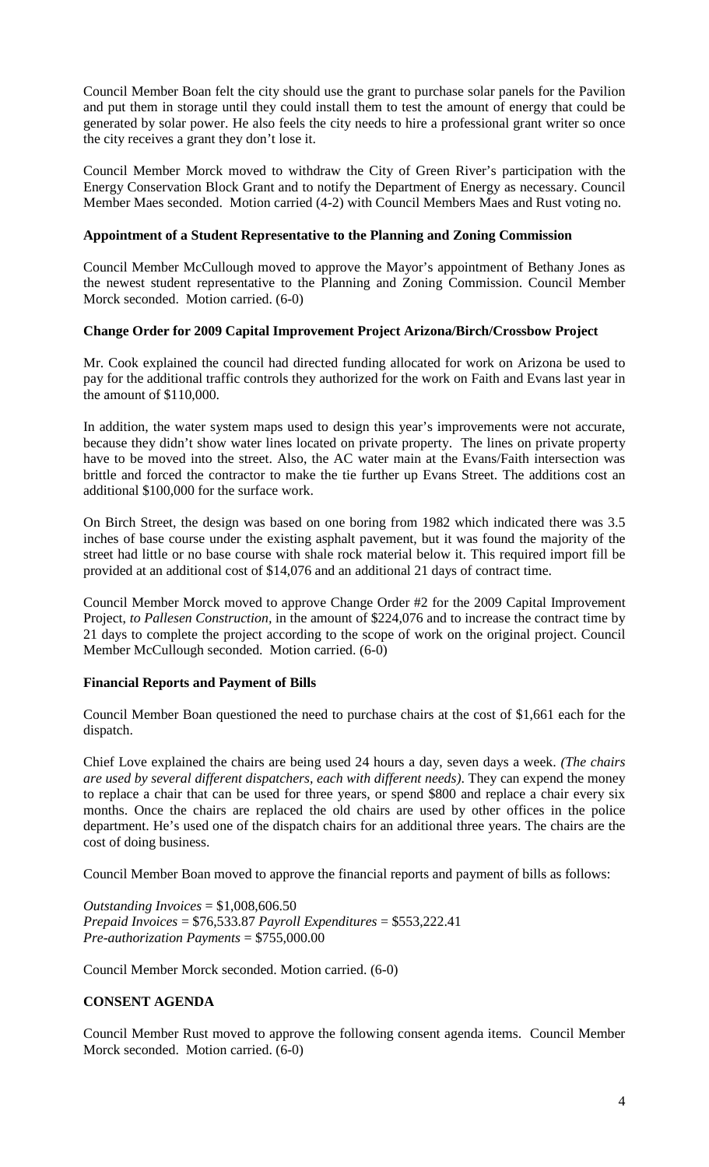Council Member Boan felt the city should use the grant to purchase solar panels for the Pavilion and put them in storage until they could install them to test the amount of energy that could be generated by solar power. He also feels the city needs to hire a professional grant writer so once the city receives a grant they don't lose it.

Council Member Morck moved to withdraw the City of Green River's participation with the Energy Conservation Block Grant and to notify the Department of Energy as necessary. Council Member Maes seconded. Motion carried (4-2) with Council Members Maes and Rust voting no.

# **Appointment of a Student Representative to the Planning and Zoning Commission**

Council Member McCullough moved to approve the Mayor's appointment of Bethany Jones as the newest student representative to the Planning and Zoning Commission. Council Member Morck seconded. Motion carried. (6-0)

### **Change Order for 2009 Capital Improvement Project Arizona/Birch/Crossbow Project**

Mr. Cook explained the council had directed funding allocated for work on Arizona be used to pay for the additional traffic controls they authorized for the work on Faith and Evans last year in the amount of \$110,000.

In addition, the water system maps used to design this year's improvements were not accurate, because they didn't show water lines located on private property. The lines on private property have to be moved into the street. Also, the AC water main at the Evans/Faith intersection was brittle and forced the contractor to make the tie further up Evans Street. The additions cost an additional \$100,000 for the surface work.

On Birch Street, the design was based on one boring from 1982 which indicated there was 3.5 inches of base course under the existing asphalt pavement, but it was found the majority of the street had little or no base course with shale rock material below it. This required import fill be provided at an additional cost of \$14,076 and an additional 21 days of contract time.

Council Member Morck moved to approve Change Order #2 for the 2009 Capital Improvement Project, *to Pallesen Construction,* in the amount of \$224,076 and to increase the contract time by 21 days to complete the project according to the scope of work on the original project. Council Member McCullough seconded. Motion carried. (6-0)

### **Financial Reports and Payment of Bills**

Council Member Boan questioned the need to purchase chairs at the cost of \$1,661 each for the dispatch.

Chief Love explained the chairs are being used 24 hours a day, seven days a week. *(The chairs are used by several different dispatchers, each with different needs)*. They can expend the money to replace a chair that can be used for three years, or spend \$800 and replace a chair every six months. Once the chairs are replaced the old chairs are used by other offices in the police department. He's used one of the dispatch chairs for an additional three years. The chairs are the cost of doing business.

Council Member Boan moved to approve the financial reports and payment of bills as follows:

*Outstanding Invoices* = \$1,008,606.50 *Prepaid Invoices* = \$76,533.87 *Payroll Expenditures* = \$553,222.41 *Pre-authorization Payments* = \$755,000.00

Council Member Morck seconded. Motion carried. (6-0)

# **CONSENT AGENDA**

Council Member Rust moved to approve the following consent agenda items. Council Member Morck seconded. Motion carried. (6-0)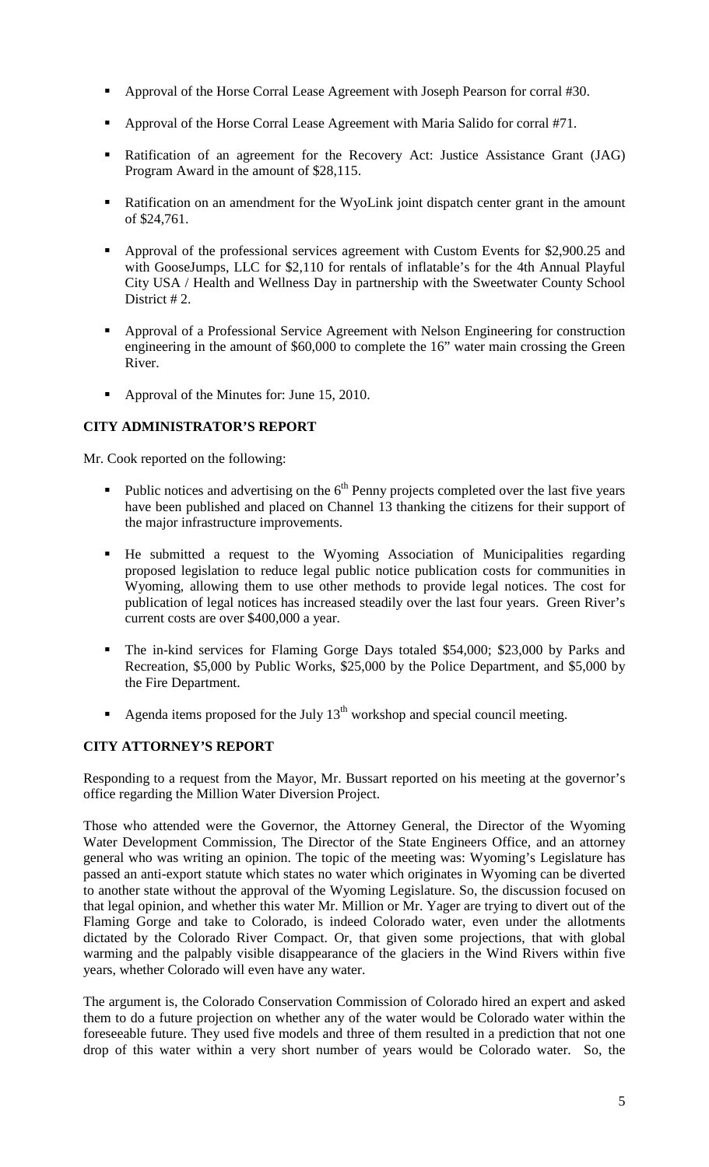- Approval of the Horse Corral Lease Agreement with Joseph Pearson for corral #30.
- Approval of the Horse Corral Lease Agreement with Maria Salido for corral #71.
- Ratification of an agreement for the Recovery Act: Justice Assistance Grant (JAG) Program Award in the amount of \$28,115.
- Ratification on an amendment for the WyoLink joint dispatch center grant in the amount of \$24,761.
- Approval of the professional services agreement with Custom Events for \$2,900.25 and with GooseJumps, LLC for \$2,110 for rentals of inflatable's for the 4th Annual Playful City USA / Health and Wellness Day in partnership with the Sweetwater County School District #2.
- Approval of a Professional Service Agreement with Nelson Engineering for construction engineering in the amount of \$60,000 to complete the 16" water main crossing the Green River.
- Approval of the Minutes for: June 15, 2010.

# **CITY ADMINISTRATOR'S REPORT**

Mr. Cook reported on the following:

- Public notices and advertising on the  $6<sup>th</sup>$  Penny projects completed over the last five years have been published and placed on Channel 13 thanking the citizens for their support of the major infrastructure improvements.
- He submitted a request to the Wyoming Association of Municipalities regarding proposed legislation to reduce legal public notice publication costs for communities in Wyoming, allowing them to use other methods to provide legal notices. The cost for publication of legal notices has increased steadily over the last four years. Green River's current costs are over \$400,000 a year.
- The in-kind services for Flaming Gorge Days totaled \$54,000; \$23,000 by Parks and Recreation, \$5,000 by Public Works, \$25,000 by the Police Department, and \$5,000 by the Fire Department.
- Agenda items proposed for the July  $13<sup>th</sup>$  workshop and special council meeting.

# **CITY ATTORNEY'S REPORT**

Responding to a request from the Mayor, Mr. Bussart reported on his meeting at the governor's office regarding the Million Water Diversion Project.

Those who attended were the Governor, the Attorney General, the Director of the Wyoming Water Development Commission, The Director of the State Engineers Office, and an attorney general who was writing an opinion. The topic of the meeting was: Wyoming's Legislature has passed an anti-export statute which states no water which originates in Wyoming can be diverted to another state without the approval of the Wyoming Legislature. So, the discussion focused on that legal opinion, and whether this water Mr. Million or Mr. Yager are trying to divert out of the Flaming Gorge and take to Colorado, is indeed Colorado water, even under the allotments dictated by the Colorado River Compact. Or, that given some projections, that with global warming and the palpably visible disappearance of the glaciers in the Wind Rivers within five years, whether Colorado will even have any water.

The argument is, the Colorado Conservation Commission of Colorado hired an expert and asked them to do a future projection on whether any of the water would be Colorado water within the foreseeable future. They used five models and three of them resulted in a prediction that not one drop of this water within a very short number of years would be Colorado water. So, the